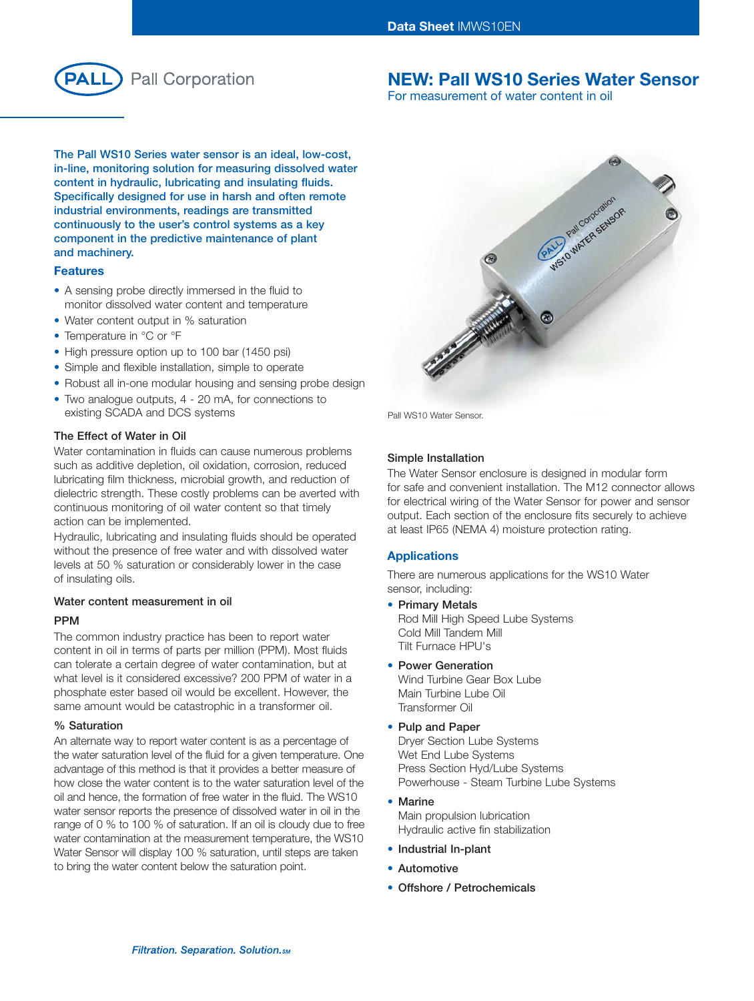

# **NEW: Pall WS10 Series Water Sensor**

For measurement of water content in oil

**The Pall WS10 Series water sensor is an ideal, low-cost, in-line, monitoring solution for measuring dissolved water content in hydraulic, lubricating and insulating fluids. Specifically designed for use in harsh and often remote industrial environments, readings are transmitted continuously to the user's control systems as a key component in the predictive maintenance of plant and machinery.**

#### **Features**

- A sensing probe directly immersed in the fluid to monitor dissolved water content and temperature
- Water content output in % saturation
- Temperature in °C or °F
- High pressure option up to 100 bar (1450 psi)
- Simple and flexible installation, simple to operate
- Robust all in-one modular housing and sensing probe design
- Two analogue outputs, 4 20 mA, for connections to existing SCADA and DCS systems

## **The Effect of Water in Oil**

Water contamination in fluids can cause numerous problems such as additive depletion, oil oxidation, corrosion, reduced lubricating film thickness, microbial growth, and reduction of dielectric strength. These costly problems can be averted with continuous monitoring of oil water content so that timely action can be implemented.

Hydraulic, lubricating and insulating fluids should be operated without the presence of free water and with dissolved water levels at 50 % saturation or considerably lower in the case of insulating oils.

### **Water content measurement in oil**

# **PPM**

The common industry practice has been to report water content in oil in terms of parts per million (PPM). Most fluids can tolerate a certain degree of water contamination, but at what level is it considered excessive? 200 PPM of water in a phosphate ester based oil would be excellent. However, the same amount would be catastrophic in a transformer oil.

#### **% Saturation**

An alternate way to report water content is as a percentage of the water saturation level of the fluid for a given temperature. One advantage of this method is that it provides a better measure of how close the water content is to the water saturation level of the oil and hence, the formation of free water in the fluid. The WS10 water sensor reports the presence of dissolved water in oil in the range of 0 % to 100 % of saturation. If an oil is cloudy due to free water contamination at the measurement temperature, the WS10 Water Sensor will display 100 % saturation, until steps are taken to bring the water content below the saturation point.



Pall WS10 Water Sensor.

## **Simple Installation**

The Water Sensor enclosure is designed in modular form for safe and convenient installation. The M12 connector allows for electrical wiring of the Water Sensor for power and sensor output. Each section of the enclosure fits securely to achieve at least IP65 (NEMA 4) moisture protection rating.

#### **Applications**

There are numerous applications for the WS10 Water sensor, including:

- **Primary Metals**  Rod Mill High Speed Lube Systems Cold Mill Tandem Mill Tilt Furnace HPU's
- **Power Generation**  Wind Turbine Gear Box Lube Main Turbine Lube Oil Transformer Oil
- **Pulp and Paper**  Dryer Section Lube Systems

Wet End Lube Systems Press Section Hyd/Lube Systems Powerhouse - Steam Turbine Lube Systems

- **Marine** Main propulsion lubrication Hydraulic active fin stabilization
- **Industrial In-plant**
- **Automotive**
- **Offshore / Petrochemicals**